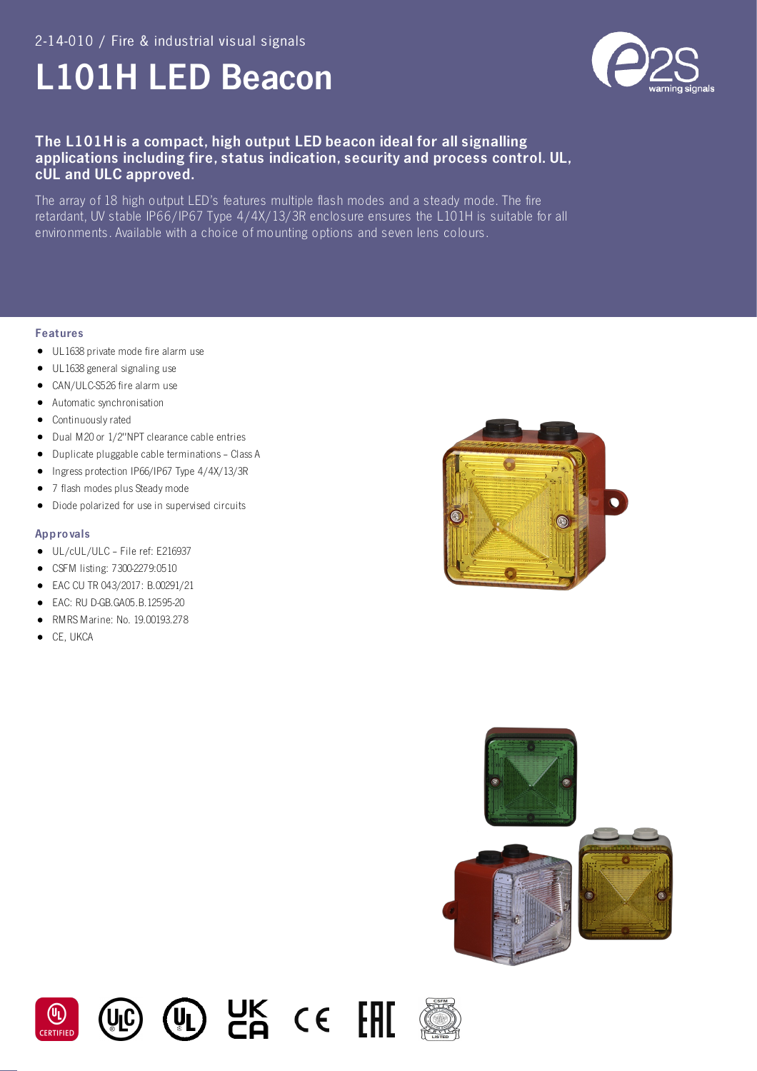# L101H LED Beacon



# The L101H is a compact, high output LED beacon ideal for all signalling applications including fire, status indication, security and process control. UL, cUL and ULC approved.

The array of 18 high output LED's features multiple flash modes and a steady mode. The fire retardant, UV stable IP66/IP67 Type 4/4X/13/3R enclosure ensures the L101H is suitable for all environments. Available with a choice of mounting options and seven lens colours.

 $CK$  ce  $H$ 

#### Features

- UL1638 private mode fire alarm use
- UL1638 general signaling use
- CAN/ULC-S526 fire alarm use
- Automatic synchronisation
- Continuously rated
- Dual M20 or 1/2"NPT clearance cable entries
- Duplicate pluggable cable terminations Class A
- Ingress protection IP66/IP67 Type 4/4X/13/3R
- 7 flash modes plus Steady mode
- $\bullet$ Diode polarized for use in supervised circuits

#### Appro vals

- UL/cUL/ULC File ref: E216937
- CSFM listing: 7300-2279:0510
- EAC CU TR 043/2017: B.00291/21
- EAC: RU D-GB.GA05.B.12595-20
- RMRS Marine: No. 19.00193.278
- **CE, UKCA**









(VL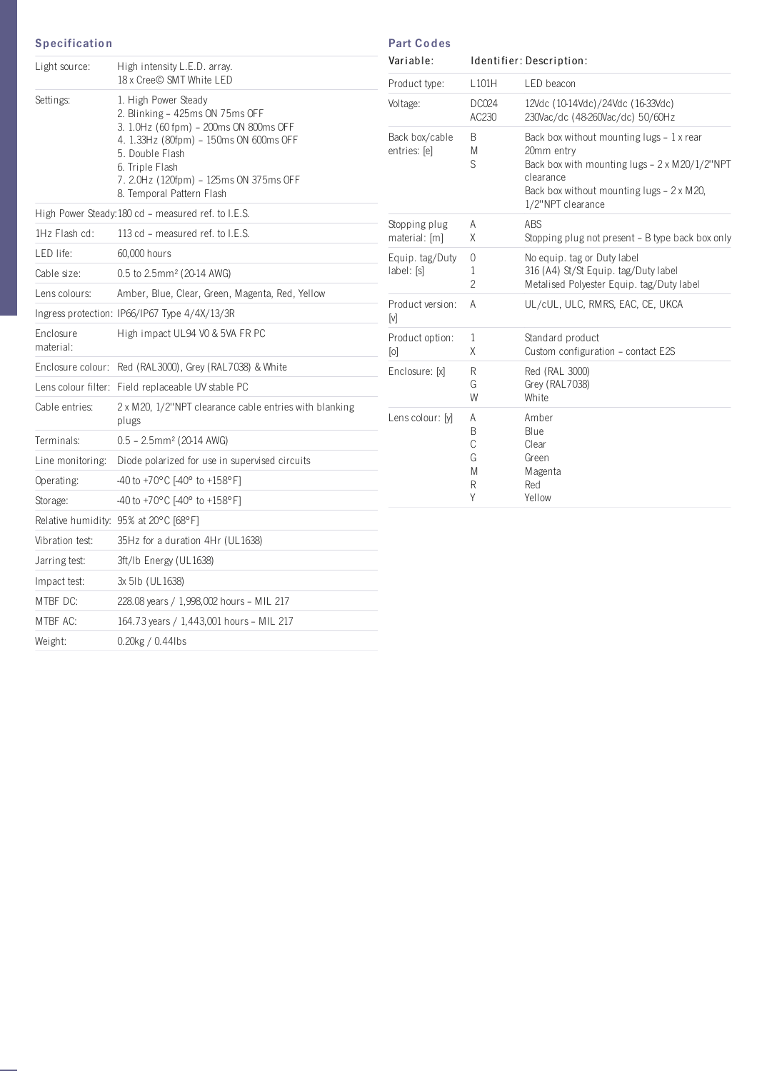### **Specification**

| Light source:          | High intensity L.E.D. array.<br>18 x Cree© SMT White LED                                                                                                                                                                                                 |  |  |  |  |
|------------------------|----------------------------------------------------------------------------------------------------------------------------------------------------------------------------------------------------------------------------------------------------------|--|--|--|--|
| Settings:              | 1. High Power Steady<br>2. Blinking - 425ms ON 75ms OFF<br>3. 1.0Hz (60 fpm) - 200ms ON 800ms OFF<br>4. 1.33Hz (80fpm) - 150ms ON 600ms OFF<br>5. Double Flash<br>6. Triple Flash<br>7. 2.0Hz (120fpm) - 125ms ON 375ms OFF<br>8. Temporal Pattern Flash |  |  |  |  |
|                        | High Power Steady: 180 cd - measured ref. to I.E.S.                                                                                                                                                                                                      |  |  |  |  |
| $1Hz$ Flash cd:        | 113 cd - measured ref. to I.E.S.                                                                                                                                                                                                                         |  |  |  |  |
| LED life:              | 60,000 hours                                                                                                                                                                                                                                             |  |  |  |  |
| Cable size:            | $0.5$ to $2.5$ mm <sup>2</sup> ( $20-14$ AWG)                                                                                                                                                                                                            |  |  |  |  |
| Lens colours:          | Amber, Blue, Clear, Green, Magenta, Red, Yellow                                                                                                                                                                                                          |  |  |  |  |
|                        | Ingress protection: IP66/IP67 Type 4/4X/13/3R                                                                                                                                                                                                            |  |  |  |  |
| Enclosure<br>material: | High impact UL94 VO & 5VA FR PC                                                                                                                                                                                                                          |  |  |  |  |
| Enclosure colour:      | Red (RAL3000), Grey (RAL7038) & White                                                                                                                                                                                                                    |  |  |  |  |
|                        | Lens colour filter: Field replaceable UV stable PC                                                                                                                                                                                                       |  |  |  |  |
| Cable entries:         | 2 x M20, 1/2"NPT clearance cable entries with blanking<br>plugs                                                                                                                                                                                          |  |  |  |  |
| Terminals:             | $0.5 - 2.5$ mm <sup>2</sup> (20-14 AWG)                                                                                                                                                                                                                  |  |  |  |  |
| Line monitoring:       | Diode polarized for use in supervised circuits                                                                                                                                                                                                           |  |  |  |  |
| Operating:             | -40 to +70°C [-40° to +158°F]                                                                                                                                                                                                                            |  |  |  |  |
| Storage:               | -40 to +70°C [-40° to +158°F]                                                                                                                                                                                                                            |  |  |  |  |
|                        | Relative humidity: 95% at 20°C [68°F]                                                                                                                                                                                                                    |  |  |  |  |
| Vibration test:        | 35Hz for a duration 4Hr (UL1638)                                                                                                                                                                                                                         |  |  |  |  |
| Jarring test:          | 3ft/Ib Energy (UL1638)                                                                                                                                                                                                                                   |  |  |  |  |
| Impact test:           | 3x 5Ib (UL 1638)                                                                                                                                                                                                                                         |  |  |  |  |
| MTBF DC:               | 228.08 years / 1,998,002 hours - MIL 217                                                                                                                                                                                                                 |  |  |  |  |
| MTBF AC:               | 164.73 years / 1,443,001 hours - MIL 217                                                                                                                                                                                                                 |  |  |  |  |
| Weight:                | 0.20kg / 0.44lbs                                                                                                                                                                                                                                         |  |  |  |  |

| Variable:                      | Identifier: Description:        |                                                                                                                                                                                                                                                                  |  |  |  |  |
|--------------------------------|---------------------------------|------------------------------------------------------------------------------------------------------------------------------------------------------------------------------------------------------------------------------------------------------------------|--|--|--|--|
| Product type:                  | L101H                           | LED beacon                                                                                                                                                                                                                                                       |  |  |  |  |
| Voltage:                       | DC024<br>AC230                  | 12Vdc (10-14Vdc)/24Vdc (16-33Vdc)<br>230Vac/dc (48-260Vac/dc) 50/60Hz<br>Back box without mounting lugs $-1x$ rear<br>20mm entry<br>Back box with mounting lugs - 2 x M20/1/2"NPT<br>clearance<br>Back box without mounting lugs - 2 x M20,<br>1/2"NPT clearance |  |  |  |  |
| Back box/cable<br>entries: [e] | B<br>M<br>S                     |                                                                                                                                                                                                                                                                  |  |  |  |  |
| Stopping plug<br>material: [m] | A<br>Χ                          | <b>ABS</b><br>Stopping plug not present - B type back box only                                                                                                                                                                                                   |  |  |  |  |
| Equip. tag/Duty<br>label: [s]  | $\Omega$<br>1<br>$\overline{c}$ | No equip. tag or Duty label<br>316 (A4) St/St Equip. tag/Duty label<br>Metalised Polyester Equip. tag/Duty label                                                                                                                                                 |  |  |  |  |
| Product version:<br>[v]        | A                               | UL/cUL, ULC, RMRS, EAC, CE, UKCA                                                                                                                                                                                                                                 |  |  |  |  |
| Product option:<br>[0]         | $\mathbf{1}$<br>Χ               | Standard product<br>Custom configuration - contact E2S                                                                                                                                                                                                           |  |  |  |  |
| Enclosure: [x]                 | R<br>G<br>W                     | Red (RAL 3000)<br>Grey (RAL7038)<br>White                                                                                                                                                                                                                        |  |  |  |  |
| Lens colour: [y]               | A<br>B<br>C<br>G<br>M<br>R<br>Υ | Amber<br>Blue<br>Clear<br>Green<br>Magenta<br>Red<br>Yellow                                                                                                                                                                                                      |  |  |  |  |

Part Co des